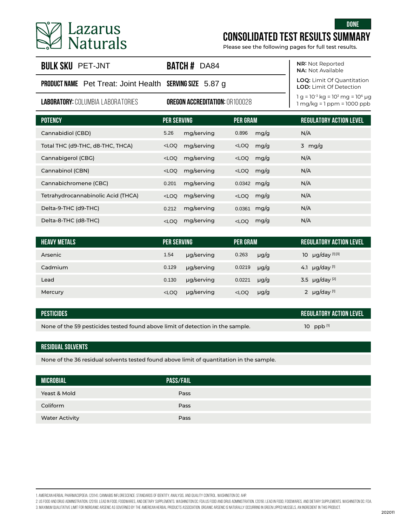

# **CONSOLIDATED TEST RESULTS SUMMARY**

| <b>BULK SKU PET-JNT</b>                                         | <b>BATCH # DA84</b>                   | <b>NR: Not Reported</b><br><b>NA: Not Available</b>                 |                                                                            |
|-----------------------------------------------------------------|---------------------------------------|---------------------------------------------------------------------|----------------------------------------------------------------------------|
| <b>PRODUCT NAME</b> Pet Treat: Joint Health SERVING SIZE 5.87 g |                                       | <b>LOQ:</b> Limit Of Quantitation<br><b>LOD:</b> Limit Of Detection |                                                                            |
| <b>LABORATORY: COLUMBIA LABORATORIES</b>                        | <b>OREGON ACCREDITATION: OR100028</b> |                                                                     | $1 g = 10^{-3} kg = 10^{3} mg = 10^{6} µg$<br>$1 mg/kg = 1 ppm = 1000 ppb$ |
| <b>POTENCY</b>                                                  | <b>PER SERVING</b>                    | <b>PER GRAM</b>                                                     | <b>REGULATORY ACTION LEVEL</b>                                             |
| Cannabidiol (CBD)                                               | mg/serving<br>5.26                    | 0.896<br>mg/g                                                       | N/A                                                                        |

| Lazarus<br><b>Naturals</b>                                      |                    |                                       |                 |           | <b>DONE</b><br><b>CONSOLIDATED TEST RESULTS SUMMARY</b><br>Please see the following pages for full test results. |
|-----------------------------------------------------------------|--------------------|---------------------------------------|-----------------|-----------|------------------------------------------------------------------------------------------------------------------|
| <b>BULK SKU PET-JNT</b>                                         |                    | <b>BATCH # DA84</b>                   |                 |           | <b>NR: Not Reported</b><br><b>NA: Not Available</b>                                                              |
| <b>PRODUCT NAME</b> Pet Treat: Joint Health SERVING SIZE 5.87 g |                    |                                       |                 |           | LOQ: Limit Of Quantitation<br><b>LOD:</b> Limit Of Detection                                                     |
| <b>LABORATORY: COLUMBIA LABORATORIES</b>                        |                    | <b>OREGON ACCREDITATION: OR100028</b> |                 |           | $1 q = 10^{-3}$ kg = $10^{3}$ mg = $10^{6}$ µg<br>$1 mg/kg = 1 ppm = 1000 ppb$                                   |
| <b>POTENCY</b>                                                  | <b>PER SERVING</b> |                                       | <b>PER GRAM</b> |           | <b>REGULATORY ACTION LEVEL</b>                                                                                   |
| Cannabidiol (CBD)                                               | 5.26               | mg/serving                            | 0.896           | mg/g      | N/A                                                                                                              |
| Total THC (d9-THC, d8-THC, THCA)                                | $<$ LOQ            | mg/serving                            | $<$ LOQ         | mg/g      | 3 mg/g                                                                                                           |
| Cannabigerol (CBG)                                              | $<$ LOQ            | mg/serving                            | $<$ LOQ         | mg/g      | N/A                                                                                                              |
| Cannabinol (CBN)                                                | $<$ LOQ            | mg/serving                            | LOO             | mg/g      | N/A                                                                                                              |
| Cannabichromene (CBC)                                           | 0.201              | mg/serving                            | 0.0342          | mg/g      | N/A                                                                                                              |
| Tetrahydrocannabinolic Acid (THCA)                              | $<$ LOQ            | mg/serving                            | LOO             | mg/g      | N/A                                                                                                              |
| Delta-9-THC (d9-THC)                                            | 0.212              | mg/serving                            | 0.0361          | mg/g      | N/A                                                                                                              |
| Delta-8-THC (d8-THC)                                            | $<$ LOQ            | mg/serving                            | $<$ LOQ         | mg/g      | N/A                                                                                                              |
|                                                                 |                    |                                       |                 |           |                                                                                                                  |
| <b>HEAVY METALS</b>                                             | <b>PER SERVING</b> |                                       | <b>PER GRAM</b> |           | <b>REGULATORY ACTION LEVEL</b>                                                                                   |
| Arsenic                                                         | 1.54               | µg/serving                            | 0.263           | $\mu$ g/g | 10 µg/day [1][3]                                                                                                 |
| Cadmium                                                         | 0.129              | µg/serving                            | 0.0219          | $\mu$ g/g | 4.1 $\mu$ g/day [1]                                                                                              |
| Lead                                                            | 0.130              | µg/serving                            | 0.0221          | $\mu$ g/g | 3.5 µg/day [2]                                                                                                   |
| Mercury                                                         | $<$ LOQ            | µg/serving                            | $<$ LOQ         | µg/g      | 2 $\mu$ g/day [1]                                                                                                |

| <b>HEAVY METALS</b> | <b>PER SERVING</b> |            | PER GRAM |           |    | REGULATORY ACTION LEVEL        |
|---------------------|--------------------|------------|----------|-----------|----|--------------------------------|
| Arsenic             | 1.54               | ug/serving | 0.263    | $\mu$ g/g | 10 | $\mu$ g/day [1][3]             |
| Cadmium             | 0.129              | µg/serving | 0.0219   | $\mu$ g/g |    | 4.1 $\mu$ g/day [1]            |
| Lead                | 0.130              | µg/serving | 0.0221   | $\mu$ g/g |    | 3.5 $\mu$ g/day <sup>[2]</sup> |
| Mercury             | $<$ LOQ            | µg/serving | $<$ LOQ  | $\mu$ g/g |    | 2 $\mu$ g/day [1]              |

| PESTICIDES                                                                     | REGULATORY ACTION LEVEL |
|--------------------------------------------------------------------------------|-------------------------|
| None of the 59 pesticides tested found above limit of detection in the sample. | 10 ppb $[n]$            |

#### **RESIDUAL SOLVENTS**

None of the 36 residual solvents tested found above limit of quantitation in the sample.

| <b>MICROBIAL</b>      | <b>PASS/FAIL</b> |
|-----------------------|------------------|
| Yeast & Mold          | Pass             |
| Coliform              | Pass             |
| <b>Water Activity</b> | Pass             |

2. US Food and Drug Administration. (2019). Lead in Food, Foodwares, and Dietary Supplements. Washington DC: FDA.US Food and Drug Administration. (2019). Lead in Food, Foodwares, and Dietary Supplements. Washington DC: FDA.

<sup>1.</sup> American Herbal Pharmacopoeia. (2014). Cannabis Inflorescence: Standards of Identity, Analysis, and Quality Control. Washington DC: AHP.

<sup>3.</sup> Maximum qualitative limit for inorganic arsenic as governed by the American Herbal products Association. Organic arsenic is naturally occurring in Green Lipped Mussels, an ingredient in this product.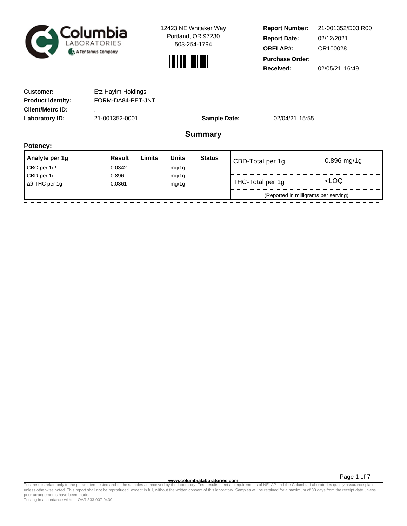

12423 NE Whitaker Way Portland, OR 97230 503-254-1794



**Report Number: Report Date: ORELAP#:** 02/12/2021 OR100028 **Received:** 02/05/21 16:49 **Purchase Order:** 21-001352/D03.R00

| <b>Customer:</b><br><b>Product identity:</b><br><b>Client/Metrc ID:</b> | Etz Hayim Holdings<br>FORM-DA84-PET-JNT |        |              |                     |                  |                                      |                     |
|-------------------------------------------------------------------------|-----------------------------------------|--------|--------------|---------------------|------------------|--------------------------------------|---------------------|
| Laboratory ID:                                                          | 21-001352-0001                          |        |              | <b>Sample Date:</b> |                  | 02/04/21 15:55                       |                     |
|                                                                         |                                         |        |              | <b>Summary</b>      |                  |                                      |                     |
| Potency:                                                                |                                         |        |              |                     |                  |                                      |                     |
| Analyte per 1g                                                          | <b>Result</b>                           | Limits | <b>Units</b> | <b>Status</b>       | CBD-Total per 1g |                                      | $0.896$ mg/1g       |
| CBC per $1g^{\dagger}$                                                  | 0.0342                                  |        | mg/1g        |                     |                  |                                      |                     |
| CBD per 1g                                                              | 0.896                                   |        | mg/1g        |                     |                  |                                      | <loq< th=""></loq<> |
| $\Delta$ 9-THC per 1g                                                   | 0.0361                                  |        | mg/1g        |                     | THC-Total per 1g |                                      |                     |
|                                                                         |                                         |        |              |                     |                  | (Reported in milligrams per serving) |                     |

**WWW.columbialaboratories.com**<br>unless otherwise noted. This report shall not be reproduced, except in full, without the written consent of this laboratory. Samples will be retained for a maximum of 30 days from the receipt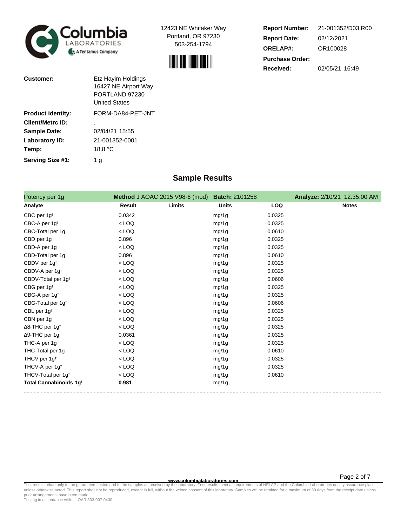



| <b>Report Number:</b>  | 21-001352/D03.R00 |
|------------------------|-------------------|
| <b>Report Date:</b>    | 02/12/2021        |
| <b>ORELAP#:</b>        | OR100028          |
| <b>Purchase Order:</b> |                   |
| Received:              | 02/05/21 16:49    |

| Customer:                | Etz Hayim Holdings<br>16427 NE Airport Way<br>PORTLAND 97230<br><b>United States</b> |
|--------------------------|--------------------------------------------------------------------------------------|
| <b>Product identity:</b> | FORM-DA84-PET-JNT                                                                    |
| Client/Metrc ID:         |                                                                                      |
| <b>Sample Date:</b>      | 02/04/21 15:55                                                                       |
| Laboratory ID:           | 21-001352-0001                                                                       |
| Temp:                    | 18.8 °C                                                                              |
| Serving Size #1:         | 1 a                                                                                  |

## **Sample Results**

| Potency per 1g                     | Method J AOAC 2015 V98-6 (mod) | <b>Batch: 2101258</b> |            | <b>Analyze: 2/10/21 12:35:00 AM</b> |
|------------------------------------|--------------------------------|-----------------------|------------|-------------------------------------|
| Analyte                            | Result<br>Limits               | <b>Units</b>          | <b>LOQ</b> | <b>Notes</b>                        |
| CBC per 1g <sup>t</sup>            | 0.0342                         | mg/1g                 | 0.0325     |                                     |
| CBC-A per 1g <sup>t</sup>          | $<$ LOQ                        | mg/1g                 | 0.0325     |                                     |
| CBC-Total per 1g <sup>t</sup>      | $<$ LOQ                        | mg/1g                 | 0.0610     |                                     |
| CBD per 1g                         | 0.896                          | mg/1g                 | 0.0325     |                                     |
| CBD-A per 1g                       | $<$ LOQ                        | mg/1g                 | 0.0325     |                                     |
| CBD-Total per 1g                   | 0.896                          | mg/1g                 | 0.0610     |                                     |
| CBDV per 1g <sup>t</sup>           | $<$ LOQ                        | mg/1g                 | 0.0325     |                                     |
| CBDV-A per 1g <sup>t</sup>         | $<$ LOQ                        | mg/1g                 | 0.0325     |                                     |
| CBDV-Total per 1g <sup>t</sup>     | $<$ LOQ                        | mg/1g                 | 0.0606     |                                     |
| CBG per 1g <sup>t</sup>            | $<$ LOQ                        | mg/1g                 | 0.0325     |                                     |
| CBG-A per 1g <sup>t</sup>          | $<$ LOQ                        | mg/1g                 | 0.0325     |                                     |
| CBG-Total per 1g <sup>t</sup>      | $<$ LOQ                        | mg/1g                 | 0.0606     |                                     |
| CBL per 1g <sup>t</sup>            | $<$ LOQ                        | mg/1g                 | 0.0325     |                                     |
| CBN per 1g                         | $<$ LOQ                        | mg/1g                 | 0.0325     |                                     |
| $\Delta$ 8-THC per 1g <sup>+</sup> | $<$ LOQ                        | mg/1g                 | 0.0325     |                                     |
| ∆9-THC per 1g                      | 0.0361                         | mg/1g                 | 0.0325     |                                     |
| THC-A per 1g                       | $<$ LOQ                        | mg/1g                 | 0.0325     |                                     |
| THC-Total per 1g                   | $<$ LOQ                        | mg/1g                 | 0.0610     |                                     |
| THCV per 1g <sup>t</sup>           | $<$ LOQ                        | mg/1g                 | 0.0325     |                                     |
| THCV-A per 1q <sup>t</sup>         | $<$ LOQ                        | mg/1g                 | 0.0325     |                                     |
| THCV-Total per 1g <sup>t</sup>     | $<$ LOQ                        | mg/1g                 | 0.0610     |                                     |
| Total Cannabinoids 1g <sup>t</sup> | 0.981                          | mg/1g                 |            |                                     |

**WWW.columbialaboratories.com**<br>unless otherwise noted. This report shall not be reproduced, except in full, without the written consent of this laboratory. Samples will be retained for a maximum of 30 days from the receipt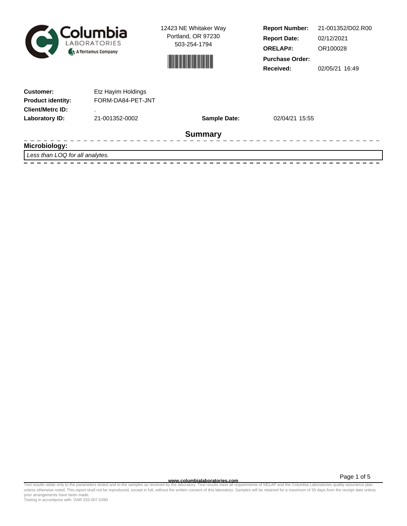



**Report Number: Report Date: ORELAP#:** 02/12/2021 OR100028 **Received:** 02/05/21 16:49 **Purchase Order:** 21-001352/D02.R00

| <b>Product identity:</b><br><b>Client/Metrc ID:</b><br>Laboratory ID:<br>21-001352-0002 | FORM-DA84-PET-JNT   |                |  |
|-----------------------------------------------------------------------------------------|---------------------|----------------|--|
|                                                                                         |                     |                |  |
|                                                                                         | <b>Sample Date:</b> | 02/04/21 15:55 |  |
|                                                                                         | <b>Summary</b>      |                |  |
| Microbiology:<br>$1$ can than $100$ for all analytical                                  |                     |                |  |

Less than LOQ for all analytes. 

Test results relate only to the parameters tested and to the samples as received by the laboratory. Test results meet all requirements of NELAP and the Columbia Laboratories quality assurance plan<br>unless otherwise noted. T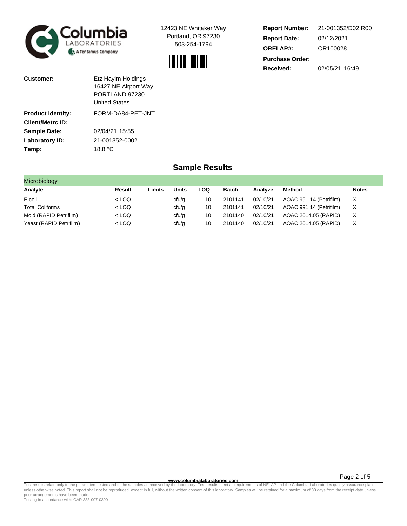



| <b>Report Number:</b>  | 21-001352/D02.R00 |
|------------------------|-------------------|
| <b>Report Date:</b>    | 02/12/2021        |
| <b>ORELAP#:</b>        | OR100028          |
| <b>Purchase Order:</b> |                   |
| Received:              | 02/05/21 16:49    |

| Customer:                | Etz Hayim Holdings<br>16427 NE Airport Way<br>PORTLAND 97230<br><b>United States</b> |
|--------------------------|--------------------------------------------------------------------------------------|
| <b>Product identity:</b> | FORM-DA84-PET-JNT                                                                    |
| Client/Metrc ID:         | ٠                                                                                    |
| <b>Sample Date:</b>      | 02/04/21 15:55                                                                       |
| Laboratory ID:           | 21-001352-0002                                                                       |
| Temp:                    | 18.8 °C                                                                              |

### **Sample Results**

| Microbiology            |         |        |              |            |              |          |                         |              |
|-------------------------|---------|--------|--------------|------------|--------------|----------|-------------------------|--------------|
| Analyte                 | Result  | Limits | <b>Units</b> | <b>LOQ</b> | <b>Batch</b> | Analyze  | Method                  | <b>Notes</b> |
| E.coli                  | $<$ LOQ |        | cfu/g        | 10         | 2101141      | 02/10/21 | AOAC 991.14 (Petrifilm) | X.           |
| <b>Total Coliforms</b>  | $<$ LOQ |        | ctu/g        | 10         | 2101141      | 02/10/21 | AOAC 991.14 (Petrifilm) | X.           |
| Mold (RAPID Petrifilm)  | $<$ LOQ |        | cfu/g        | 10         | 2101140      | 02/10/21 | AOAC 2014.05 (RAPID)    | X            |
| Yeast (RAPID Petrifilm) | $<$ LOQ |        | cfu/g        | 10         | 2101140      | 02/10/21 | AOAC 2014.05 (RAPID)    | X            |

Test results relate only to the parameters tested and to the samples as received by the laboratory. Test results meet all requirements of NELAP and the Columbia Laboratories quality assurance plan<br>unless otherwise noted. T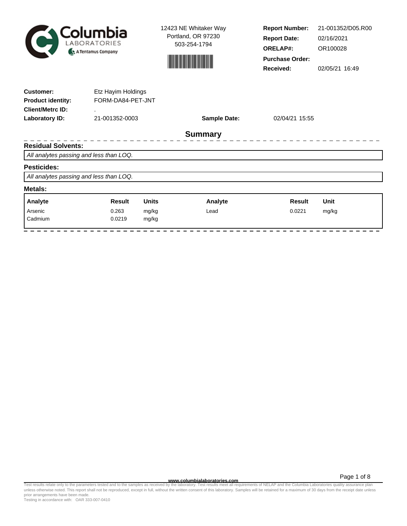



**Report Number: Report Date: ORELAP#:** 02/16/2021 OR100028 **Received:** 02/05/21 16:49 **Purchase Order:** 21-001352/D05.R00

| <b>Customer:</b><br><b>Product identity:</b> | Etz Hayim Holdings<br>FORM-DA84-PET-JNT |              |                     |                |       |
|----------------------------------------------|-----------------------------------------|--------------|---------------------|----------------|-------|
| <b>Client/Metrc ID:</b>                      | ٠                                       |              |                     |                |       |
| Laboratory ID:                               | 21-001352-0003                          |              | <b>Sample Date:</b> | 02/04/21 15:55 |       |
|                                              |                                         |              | <b>Summary</b>      |                |       |
| <b>Residual Solvents:</b>                    |                                         |              |                     |                |       |
| All analytes passing and less than LOQ.      |                                         |              |                     |                |       |
| <b>Pesticides:</b>                           |                                         |              |                     |                |       |
| All analytes passing and less than LOQ.      |                                         |              |                     |                |       |
| Metals:                                      |                                         |              |                     |                |       |
| Analyte                                      | <b>Result</b>                           | <b>Units</b> | Analyte             | <b>Result</b>  | Unit  |
| Arsenic                                      | 0.263                                   | mg/kg        | Lead                | 0.0221         | mg/kg |
| Cadmium                                      | 0.0219                                  | mg/kg        |                     |                |       |

Test results relate only to the parameters tested and to the samples as received by the laboratory. Test results meet all requirements of NELAP and the Columbia Laboratories quality assurance plan<br>unless otherwise noted. T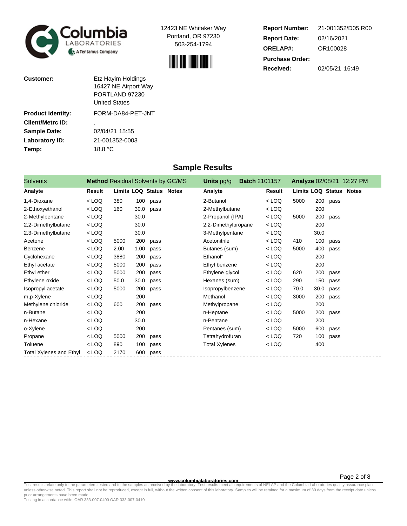



| <b>Report Number:</b>  | 21-001352/D05.R00 |
|------------------------|-------------------|
| <b>Report Date:</b>    | 02/16/2021        |
| <b>ORELAP#:</b>        | OR100028          |
| <b>Purchase Order:</b> |                   |
| <b>Received:</b>       | 02/05/21 16:49    |

| Customer:                | Etz Hayim Holdings   |
|--------------------------|----------------------|
|                          | 16427 NE Airport Way |
|                          | PORTLAND 97230       |
|                          | <b>United States</b> |
| <b>Product identity:</b> | FORM-DA84-PET-JNT    |
| <b>Client/Metrc ID:</b>  | ٠                    |
| <b>Sample Date:</b>      | 02/04/21 15:55       |
| Laboratory ID:           | 21-001352-0003       |
| Temp:                    | 18.8 °C              |
|                          |                      |

#### **Sample Results**

| <b>Solvents</b>         |         |      |      | <b>Method Residual Solvents by GC/MS</b> | <b>Batch 2101157</b><br>Units µg/g |         |                                |      |      | <b>Analyze 02/08/21 12:27 PM</b> |
|-------------------------|---------|------|------|------------------------------------------|------------------------------------|---------|--------------------------------|------|------|----------------------------------|
| Analyte                 | Result  |      |      | Limits LOQ Status Notes                  | Analyte                            | Result  | <b>Limits LOQ Status Notes</b> |      |      |                                  |
| 1.4-Dioxane             | $<$ LOQ | 380  | 100  | pass                                     | 2-Butanol                          | $<$ LOQ | 5000                           | 200  | pass |                                  |
| 2-Ethoxyethanol         | $<$ LOQ | 160  | 30.0 | pass                                     | 2-Methylbutane                     | $<$ LOQ |                                | 200  |      |                                  |
| 2-Methylpentane         | $<$ LOQ |      | 30.0 |                                          | 2-Propanol (IPA)                   | $<$ LOQ | 5000                           | 200  | pass |                                  |
| 2,2-Dimethylbutane      | $<$ LOQ |      | 30.0 |                                          | 2,2-Dimethylpropane                | $<$ LOQ |                                | 200  |      |                                  |
| 2,3-Dimethylbutane      | $<$ LOQ |      | 30.0 |                                          | 3-Methylpentane                    | $<$ LOQ |                                | 30.0 |      |                                  |
| Acetone                 | $<$ LOQ | 5000 | 200  | pass                                     | Acetonitrile                       | $<$ LOQ | 410                            | 100  | pass |                                  |
| Benzene                 | $<$ LOQ | 2.00 | 1.00 | pass                                     | Butanes (sum)                      | $<$ LOQ | 5000                           | 400  | pass |                                  |
| Cyclohexane             | $<$ LOQ | 3880 | 200  | pass                                     | Ethanol <sup>t</sup>               | $<$ LOQ |                                | 200  |      |                                  |
| Ethyl acetate           | $<$ LOQ | 5000 | 200  | pass                                     | Ethyl benzene                      | $<$ LOQ |                                | 200  |      |                                  |
| Ethyl ether             | $<$ LOQ | 5000 | 200  | pass                                     | Ethylene glycol                    | $<$ LOQ | 620                            | 200  | pass |                                  |
| Ethylene oxide          | $<$ LOQ | 50.0 | 30.0 | pass                                     | Hexanes (sum)                      | $<$ LOQ | 290                            | 150  | pass |                                  |
| Isopropyl acetate       | $<$ LOQ | 5000 | 200  | pass                                     | Isopropylbenzene                   | $<$ LOQ | 70.0                           | 30.0 | pass |                                  |
| m,p-Xylene              | $<$ LOQ |      | 200  |                                          | Methanol                           | $<$ LOQ | 3000                           | 200  | pass |                                  |
| Methylene chloride      | $<$ LOQ | 600  | 200  | pass                                     | Methylpropane                      | $<$ LOQ |                                | 200  |      |                                  |
| n-Butane                | $<$ LOQ |      | 200  |                                          | n-Heptane                          | $<$ LOQ | 5000                           | 200  | pass |                                  |
| n-Hexane                | $<$ LOQ |      | 30.0 |                                          | n-Pentane                          | $<$ LOQ |                                | 200  |      |                                  |
| o-Xylene                | $<$ LOQ |      | 200  |                                          | Pentanes (sum)                     | $<$ LOQ | 5000                           | 600  | pass |                                  |
| Propane                 | $<$ LOQ | 5000 | 200  | pass                                     | Tetrahydrofuran                    | $<$ LOQ | 720                            | 100  | pass |                                  |
| Toluene                 | $<$ LOQ | 890  | 100  | pass                                     | <b>Total Xylenes</b>               | $<$ LOQ |                                | 400  |      |                                  |
| Total Xylenes and Ethyl | $<$ LOQ | 2170 | 600  | pass                                     |                                    |         |                                |      |      |                                  |

**WWW.columbialaboratories.com**<br>unless otherwise noted. This report shall not be reproduced, except in full, without the written consent of this laboratory. Test results meet all requirements of NELAP and the Columbia Labor